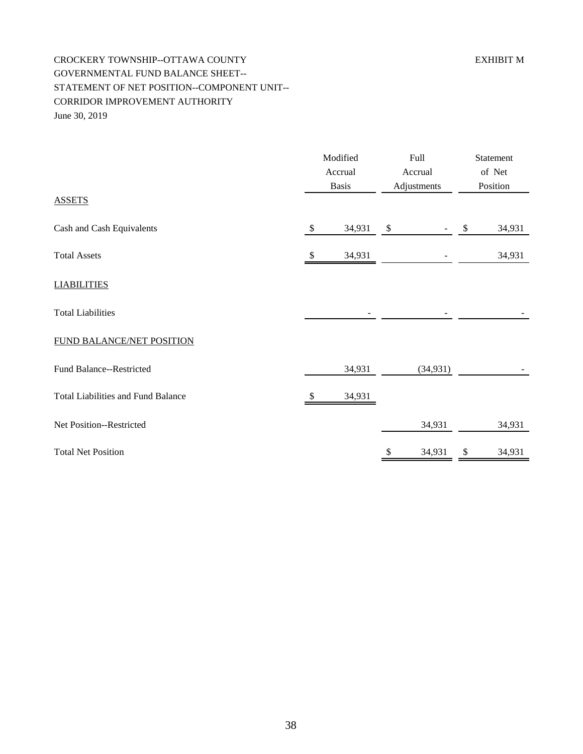## CROCKERY TOWNSHIP--OTTAWA COUNTY EXHIBIT M GOVERNMENTAL FUND BALANCE SHEET-- STATEMENT OF NET POSITION--COMPONENT UNIT-- CORRIDOR IMPROVEMENT AUTHORITY June 30, 2019

|                                           | Modified<br>Accrual<br><b>Basis</b> |        | Full<br>Accrual<br>Adjustments |           | Statement<br>of Net<br>Position |        |
|-------------------------------------------|-------------------------------------|--------|--------------------------------|-----------|---------------------------------|--------|
| <b>ASSETS</b>                             |                                     |        |                                |           |                                 |        |
| Cash and Cash Equivalents                 | \$                                  | 34,931 | $\boldsymbol{\mathsf{S}}$      |           | \$                              | 34,931 |
| <b>Total Assets</b>                       | \$                                  | 34,931 |                                |           |                                 | 34,931 |
| <b>LIABILITIES</b>                        |                                     |        |                                |           |                                 |        |
| <b>Total Liabilities</b>                  |                                     |        |                                |           |                                 |        |
| FUND BALANCE/NET POSITION                 |                                     |        |                                |           |                                 |        |
| Fund Balance--Restricted                  |                                     | 34,931 |                                | (34, 931) |                                 |        |
| <b>Total Liabilities and Fund Balance</b> | S                                   | 34,931 |                                |           |                                 |        |
| Net Position--Restricted                  |                                     |        |                                | 34,931    |                                 | 34,931 |
| <b>Total Net Position</b>                 |                                     |        | \$                             | 34,931    | \$                              | 34,931 |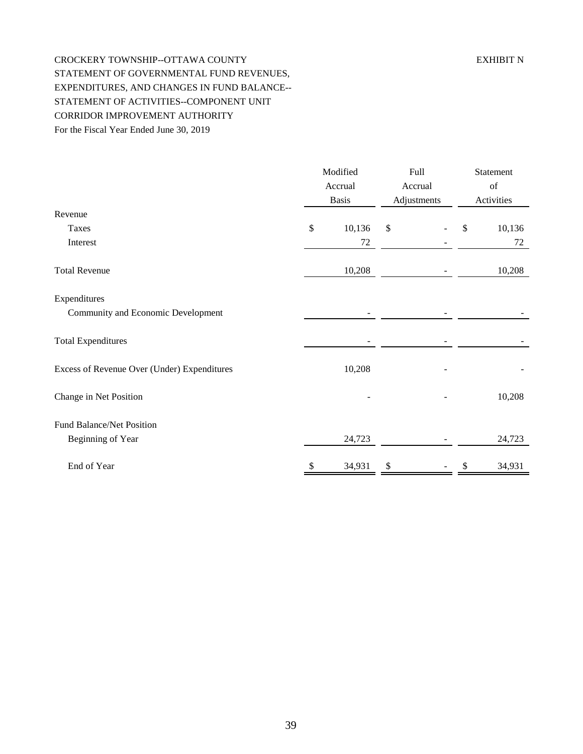## CROCKERY TOWNSHIP--OTTAWA COUNTY EXHIBIT N STATEMENT OF GOVERNMENTAL FUND REVENUES, EXPENDITURES, AND CHANGES IN FUND BALANCE-- STATEMENT OF ACTIVITIES--COMPONENT UNIT CORRIDOR IMPROVEMENT AUTHORITY For the Fiscal Year Ended June 30, 2019

|                                             | Modified<br>Accrual<br><b>Basis</b> |        | Full<br>Accrual<br>Adjustments |  | Statement<br>$\sigma f$<br>Activities |        |
|---------------------------------------------|-------------------------------------|--------|--------------------------------|--|---------------------------------------|--------|
| Revenue                                     |                                     |        |                                |  |                                       |        |
| Taxes                                       | \$                                  | 10,136 | \$                             |  | \$                                    | 10,136 |
| Interest                                    |                                     | 72     |                                |  |                                       | 72     |
| <b>Total Revenue</b>                        |                                     | 10,208 |                                |  |                                       | 10,208 |
| Expenditures                                |                                     |        |                                |  |                                       |        |
| Community and Economic Development          |                                     |        |                                |  |                                       |        |
| <b>Total Expenditures</b>                   |                                     |        |                                |  |                                       |        |
| Excess of Revenue Over (Under) Expenditures |                                     | 10,208 |                                |  |                                       |        |
| Change in Net Position                      |                                     |        |                                |  |                                       | 10,208 |
| Fund Balance/Net Position                   |                                     |        |                                |  |                                       |        |
| Beginning of Year                           |                                     | 24,723 |                                |  |                                       | 24,723 |
| End of Year                                 | \$                                  | 34,931 | \$                             |  | \$                                    | 34,931 |